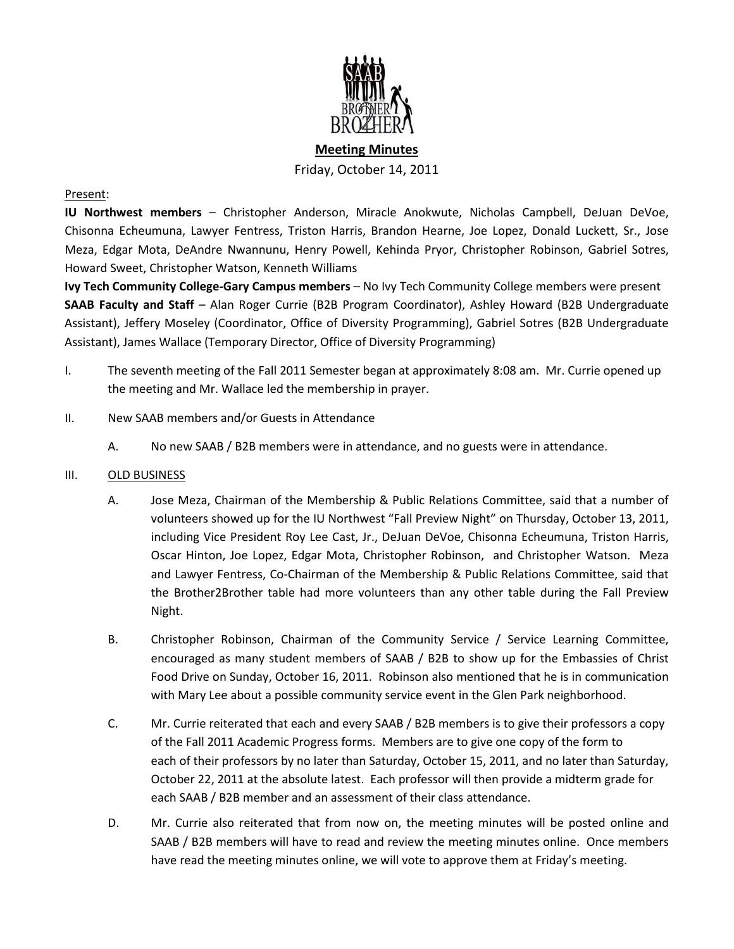

# **Meeting Minutes** Friday, October 14, 2011

#### Present:

**IU Northwest members** – Christopher Anderson, Miracle Anokwute, Nicholas Campbell, DeJuan DeVoe, Chisonna Echeumuna, Lawyer Fentress, Triston Harris, Brandon Hearne, Joe Lopez, Donald Luckett, Sr., Jose Meza, Edgar Mota, DeAndre Nwannunu, Henry Powell, Kehinda Pryor, Christopher Robinson, Gabriel Sotres, Howard Sweet, Christopher Watson, Kenneth Williams

**Ivy Tech Community College-Gary Campus members** – No Ivy Tech Community College members were present **SAAB Faculty and Staff** – Alan Roger Currie (B2B Program Coordinator), Ashley Howard (B2B Undergraduate Assistant), Jeffery Moseley (Coordinator, Office of Diversity Programming), Gabriel Sotres (B2B Undergraduate Assistant), James Wallace (Temporary Director, Office of Diversity Programming)

- I. The seventh meeting of the Fall 2011 Semester began at approximately 8:08 am. Mr. Currie opened up the meeting and Mr. Wallace led the membership in prayer.
- II. New SAAB members and/or Guests in Attendance
	- A. No new SAAB / B2B members were in attendance, and no guests were in attendance.

#### III. OLD BUSINESS

- A. Jose Meza, Chairman of the Membership & Public Relations Committee, said that a number of volunteers showed up for the IU Northwest "Fall Preview Night" on Thursday, October 13, 2011, including Vice President Roy Lee Cast, Jr., DeJuan DeVoe, Chisonna Echeumuna, Triston Harris, Oscar Hinton, Joe Lopez, Edgar Mota, Christopher Robinson, and Christopher Watson. Meza and Lawyer Fentress, Co-Chairman of the Membership & Public Relations Committee, said that the Brother2Brother table had more volunteers than any other table during the Fall Preview Night.
- B. Christopher Robinson, Chairman of the Community Service / Service Learning Committee, encouraged as many student members of SAAB / B2B to show up for the Embassies of Christ Food Drive on Sunday, October 16, 2011. Robinson also mentioned that he is in communication with Mary Lee about a possible community service event in the Glen Park neighborhood.
- C. Mr. Currie reiterated that each and every SAAB / B2B members is to give their professors a copy of the Fall 2011 Academic Progress forms. Members are to give one copy of the form to each of their professors by no later than Saturday, October 15, 2011, and no later than Saturday, October 22, 2011 at the absolute latest. Each professor will then provide a midterm grade for each SAAB / B2B member and an assessment of their class attendance.
- D. Mr. Currie also reiterated that from now on, the meeting minutes will be posted online and SAAB / B2B members will have to read and review the meeting minutes online. Once members have read the meeting minutes online, we will vote to approve them at Friday's meeting.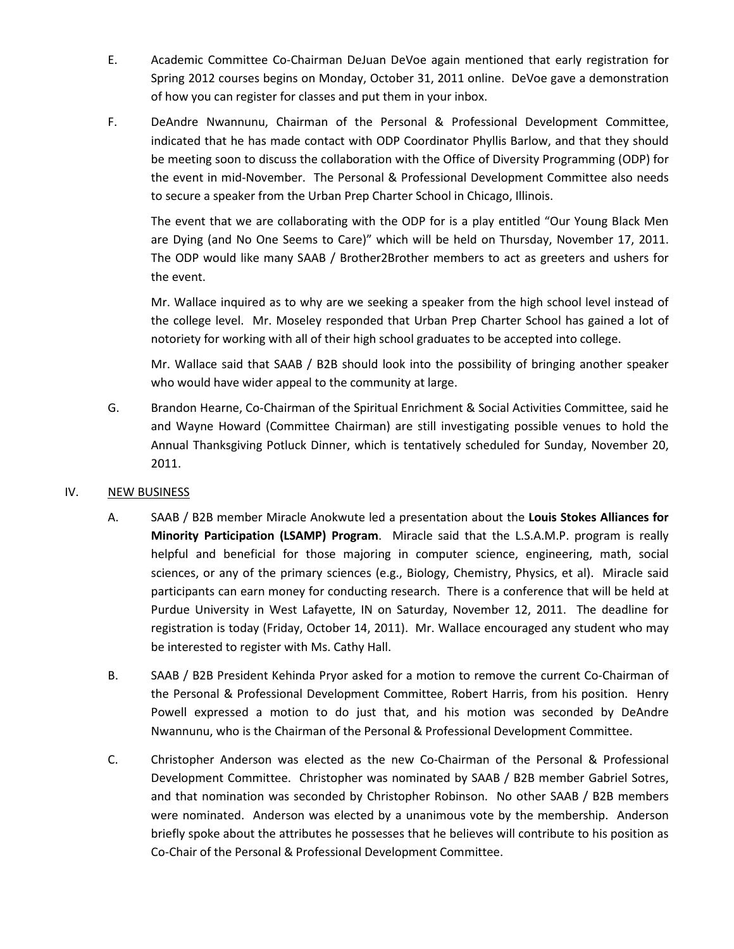- E. Academic Committee Co-Chairman DeJuan DeVoe again mentioned that early registration for Spring 2012 courses begins on Monday, October 31, 2011 online. DeVoe gave a demonstration of how you can register for classes and put them in your inbox.
- F. DeAndre Nwannunu, Chairman of the Personal & Professional Development Committee, indicated that he has made contact with ODP Coordinator Phyllis Barlow, and that they should be meeting soon to discuss the collaboration with the Office of Diversity Programming (ODP) for the event in mid-November. The Personal & Professional Development Committee also needs to secure a speaker from the Urban Prep Charter School in Chicago, Illinois.

The event that we are collaborating with the ODP for is a play entitled "Our Young Black Men are Dying (and No One Seems to Care)" which will be held on Thursday, November 17, 2011. The ODP would like many SAAB / Brother2Brother members to act as greeters and ushers for the event.

Mr. Wallace inquired as to why are we seeking a speaker from the high school level instead of the college level. Mr. Moseley responded that Urban Prep Charter School has gained a lot of notoriety for working with all of their high school graduates to be accepted into college.

Mr. Wallace said that SAAB / B2B should look into the possibility of bringing another speaker who would have wider appeal to the community at large.

G. Brandon Hearne, Co-Chairman of the Spiritual Enrichment & Social Activities Committee, said he and Wayne Howard (Committee Chairman) are still investigating possible venues to hold the Annual Thanksgiving Potluck Dinner, which is tentatively scheduled for Sunday, November 20, 2011.

## IV. NEW BUSINESS

- A. SAAB / B2B member Miracle Anokwute led a presentation about the **Louis Stokes Alliances for Minority Participation (LSAMP) Program**. Miracle said that the L.S.A.M.P. program is really helpful and beneficial for those majoring in computer science, engineering, math, social sciences, or any of the primary sciences (e.g., Biology, Chemistry, Physics, et al). Miracle said participants can earn money for conducting research. There is a conference that will be held at Purdue University in West Lafayette, IN on Saturday, November 12, 2011. The deadline for registration is today (Friday, October 14, 2011). Mr. Wallace encouraged any student who may be interested to register with Ms. Cathy Hall.
- B. SAAB / B2B President Kehinda Pryor asked for a motion to remove the current Co-Chairman of the Personal & Professional Development Committee, Robert Harris, from his position. Henry Powell expressed a motion to do just that, and his motion was seconded by DeAndre Nwannunu, who is the Chairman of the Personal & Professional Development Committee.
- C. Christopher Anderson was elected as the new Co-Chairman of the Personal & Professional Development Committee. Christopher was nominated by SAAB / B2B member Gabriel Sotres, and that nomination was seconded by Christopher Robinson. No other SAAB / B2B members were nominated. Anderson was elected by a unanimous vote by the membership. Anderson briefly spoke about the attributes he possesses that he believes will contribute to his position as Co-Chair of the Personal & Professional Development Committee.